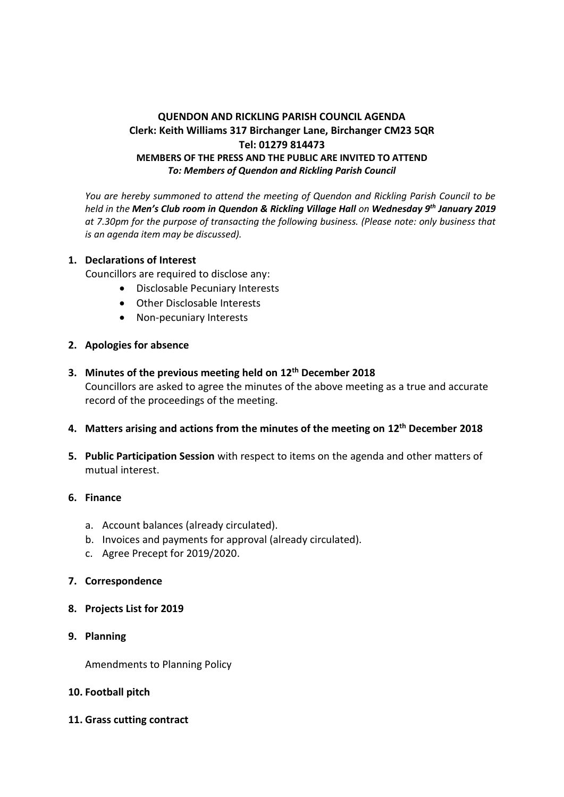## **QUENDON AND RICKLING PARISH COUNCIL AGENDA Clerk: Keith Williams 317 Birchanger Lane, Birchanger CM23 5QR Tel: 01279 814473 MEMBERS OF THE PRESS AND THE PUBLIC ARE INVITED TO ATTEND** *To: Members of Quendon and Rickling Parish Council*

*You are hereby summoned to attend the meeting of Quendon and Rickling Parish Council to be held in the Men's Club room in Quendon & Rickling Village Hall on Wednesday 9 th January 2019 at 7.30pm for the purpose of transacting the following business. (Please note: only business that is an agenda item may be discussed).*

#### **1. Declarations of Interest**

Councillors are required to disclose any:

- Disclosable Pecuniary Interests
- Other Disclosable Interests
- Non-pecuniary Interests
- **2. Apologies for absence**
- **3. Minutes of the previous meeting held on 12th December 2018** Councillors are asked to agree the minutes of the above meeting as a true and accurate record of the proceedings of the meeting.
- **4. Matters arising and actions from the minutes of the meeting on 12th December 2018**
- **5. Public Participation Session** with respect to items on the agenda and other matters of mutual interest.

# **6. Finance**

- a. Account balances (already circulated).
- b. Invoices and payments for approval (already circulated).
- c. Agree Precept for 2019/2020.

### **7. Correspondence**

- **8. Projects List for 2019**
- **9. Planning**

Amendments to Planning Policy

### **10. Football pitch**

**11. Grass cutting contract**